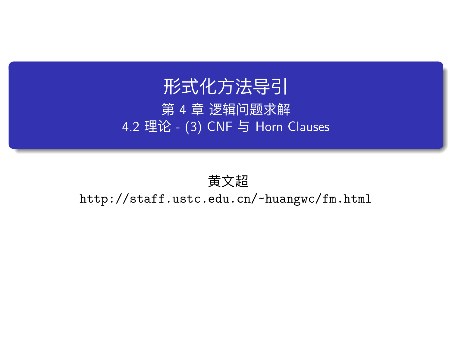# 形式化方法导引

第 4 章 逻辑问题求解 4.2 理论 - (3) CNF 与 Horn Clauses

# 黄文超

http://staff.ustc.edu.cn/~huangwc/fm.html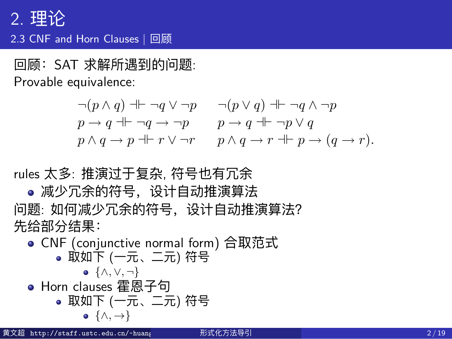# 2. 理论 2.3 CNF and Horn Clauses | 回顾 Note that, by Remark 1.12, we could just as well have defined φ #" ψ to

回顾:SAT 求解所遇到的问题: mean that the sequent " (φ → ψ) ∧ (ψ → φ) is valid; it defines the same

Provable equivalence:

 $\neg(p \land q) \dashv \vdash \neg q \lor \neg p$   $\neg(p \lor q) \dashv \vdash \neg q \land \neg p$  $p \rightarrow q \uparrow \vdash \neg q \rightarrow \neg p$   $p \rightarrow q \uparrow \vdash \neg p \vee q$  $p \land q \rightarrow p \nightharpoonup r \lor \neg r$   $p \land q \rightarrow r \nightharpoonup p \rightarrow (q \rightarrow r)$ .

 $A$ s seen earlier, we denote that  $\phi$  and  $\phi$  are provably equivalent by equivalent by equivalent by equivalent by

rules 太多: 推演过于复杂, 符号也有冗余

deduction. 减少冗余的符号,设计自动推演算法

**1.2.5 An aside: proof by contradiction** 问题: 如何减少冗余的符号,设计自动推演算法? 先给部分结果:

- CNF <u>(conjunctive</u> normal form) 合取范式  $\bullet$  取如下 (一元、二元) 符号 $\bullet$ ● Horn clauses 霍恩子句 *{∧, ∨, ¬}*
- ure 1.2, specifically allows for *indirect* proofs that lack a constructive quality: 取如下 (一元、二元) 符号 **•**  $\{\wedge, \rightarrow\}$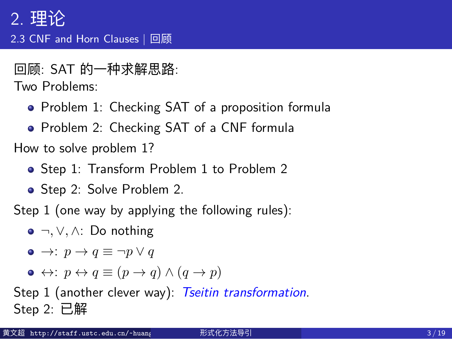# 2. 理论 2.3 CNF and Horn Clauses | 回顾

#### 回顾: SAT 的一种求解思路:

Two Problems:

- Problem 1: Checking SAT of a proposition formula
- Problem 2: Checking SAT of a CNF formula

How to solve problem 1?

- Step 1: Transform Problem 1 to Problem 2
- Step 2: Solve Problem 2.

Step 1 (one way by applying the following rules):

- *¬, ∨, ∧*: Do nothing
- $\bullet \rightarrow : p \rightarrow q \equiv \neg p \lor q$
- $\bullet \leftrightarrow: p \leftrightarrow q \equiv (p \rightarrow q) \land (q \rightarrow p)$

Step 1 (another clever way): *Tseitin transformation*. Step 2: 已解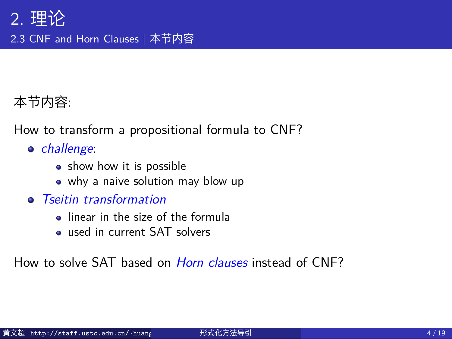# 2. 理论 2.3 CNF and Horn Clauses | 本节内容

# 本节内容:

How to transform a propositional formula to CNF?

- *challenge*:
	- show how it is possible
	- why a naive solution may blow up
- *Tseitin transformation*
	- linear in the size of the formula
	- used in current SAT solvers

How to solve SAT based on *Horn clauses* instead of CNF?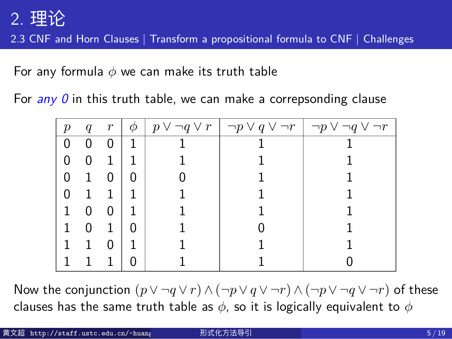2.3 CNF and Horn Clauses | Transform a propositional formula to CNF | Challenges

For any formula *ϕ* we can make its truth table

|  |  |  |  |  |  |  |  |  |  |  | For $any 0$ in this truth table, we can make a correpsonding clause |  |  |
|--|--|--|--|--|--|--|--|--|--|--|---------------------------------------------------------------------|--|--|
|--|--|--|--|--|--|--|--|--|--|--|---------------------------------------------------------------------|--|--|

| $\boldsymbol{p}$ | q | $\,r$ | Φ | $p \vee \neg q \vee r \mid \neg p \vee q \vee \neg r$ | $\neg p \vee \neg q \vee \neg r$ |
|------------------|---|-------|---|-------------------------------------------------------|----------------------------------|
| 0                | 0 | 0     |   |                                                       |                                  |
| 0                | 0 | 1     |   |                                                       |                                  |
| 0                | 1 | 0     | 0 |                                                       |                                  |
| 0                | 1 | 1     |   |                                                       |                                  |
| 1                | 0 | 0     |   |                                                       |                                  |
|                  | 0 | 1     | 0 |                                                       |                                  |
|                  |   | 0     |   |                                                       |                                  |
|                  |   | 1     |   |                                                       |                                  |

Now the conjunction  $(p \lor \neg q \lor r) \land (\neg p \lor q \lor \neg r) \land (\neg p \lor \neg q \lor \neg r)$  of these clauses has the same truth table as *ϕ*, so it is logically equivalent to *ϕ*

| 黄文超 http://staff.ustc.edu.cn/~huang | 形式化方法导引 | 5/19 |
|-------------------------------------|---------|------|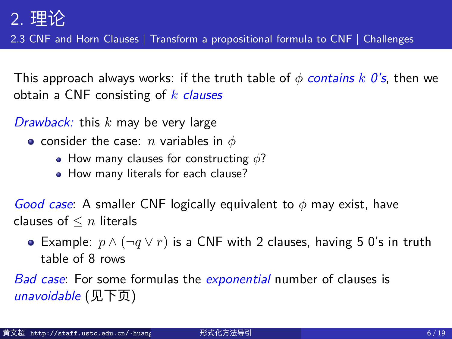2.3 CNF and Horn Clauses | Transform a propositional formula to CNF | Challenges

This approach always works: if the truth table of  $\phi$  *contains*  $k$   $0$ 's, then we obtain a CNF consisting of *k clauses*

#### *Drawback:* this *k* may be very large

- consider the case: *n* variables in *ϕ*
	- How many clauses for constructing *ϕ*?
	- How many literals for each clause?

*Good case*: A smaller CNF logically equivalent to *ϕ* may exist, have clauses of *≤ n* literals

Example: *p ∧* (*¬q ∨ r*) is a CNF with 2 clauses, having 5 0's in truth table of 8 rows

*Bad case*: For some formulas the *exponential* number of clauses is *unavoidable* (见下页)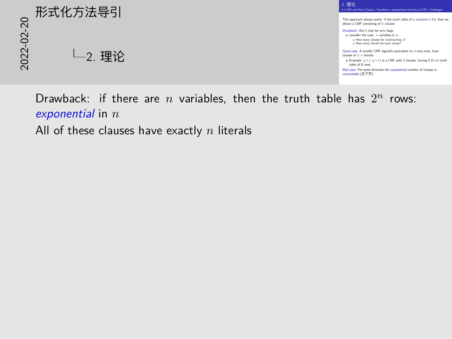

Drawback: if there are  $n$  variables, then the truth table has  $2^n$  rows: *exponential* in *n* All of these clauses have exactly *n* literals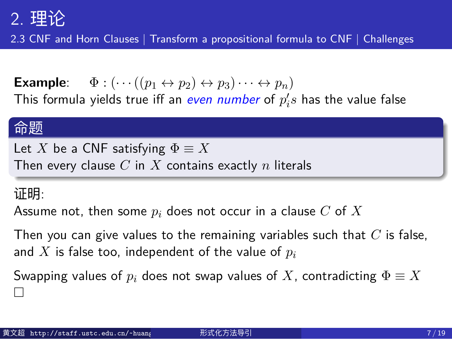2.3 CNF and Horn Clauses | Transform a propositional formula to CNF | Challenges

**Example**:  $\Phi : (\cdots((p_1 \leftrightarrow p_2) \leftrightarrow p_3) \cdots \leftrightarrow p_n)$ This formula yields true iff an  $\epsilon$ ven number of  $p_i's$  has the value false

#### 命题

Let *X* be a CNF satisfying  $\Phi \equiv X$ Then every clause *C* in *X* contains exactly *n* literals

#### 证明:

Assume not, then some *p<sup>i</sup>* does not occur in a clause *C* of *X*

Then you can give values to the remaining variables such that *C* is false, and *X* is false too, independent of the value of *p<sup>i</sup>*

Swapping values of  $p_i$  does not swap values of  $X$ , contradicting  $\Phi \equiv X$ □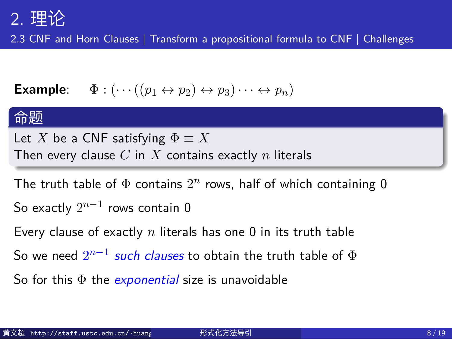2.3 CNF and Horn Clauses | Transform a propositional formula to CNF | Challenges

**Example**:  $\Phi : (\cdots ((p_1 \leftrightarrow p_2) \leftrightarrow p_3) \cdots \leftrightarrow p_n)$ 

# 命题

Let *X* be a CNF satisfying  $\Phi \equiv X$ Then every clause *C* in *X* contains exactly *n* literals

The truth table of  $\Phi$  contains  $2^n$  rows, half of which containing 0

So exactly 2 *n−*1 rows contain 0

Every clause of exactly *n* literals has one 0 in its truth table

So we need 2 *n−*1 *such clauses* to obtain the truth table of Φ

So for this Φ the *exponential* size is unavoidable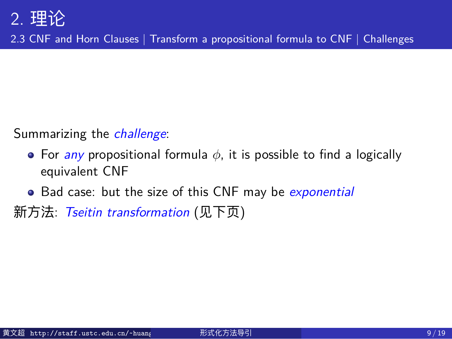2.3 CNF and Horn Clauses | Transform a propositional formula to CNF | Challenges

Summarizing the *challenge*:

- For *any* propositional formula *ϕ*, it is possible to find a logically equivalent CNF
- Bad case: but the size of this CNF may be *exponential*

新方法: *Tseitin transformation* (见下页)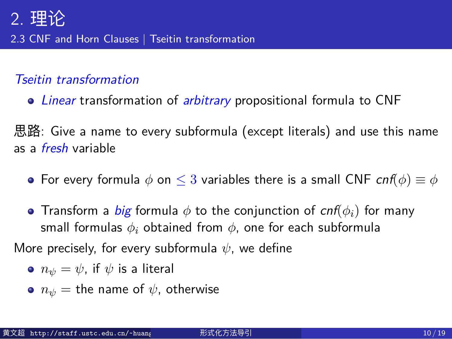2.3 CNF and Horn Clauses | Tseitin transformation

#### *Tseitin transformation*

*Linear* transformation of *arbitrary* propositional formula to CNF

思路: Give a name to every subformula (except literals) and use this name as a *fresh* variable

- For every formula *ϕ* on *≤* 3 variables there is a small CNF *cnf*(*ϕ*) *≡ ϕ*
- Transform a *big* formula *ϕ* to the conjunction of *cnf*(*ϕi*) for many small formulas *ϕ<sup>i</sup>* obtained from *ϕ*, one for each subformula

More precisely, for every subformula *ψ*, we define

- $n_{\psi} = \psi$ , if  $\psi$  is a literal
- $n_{\psi}$  = the name of  $\psi$ , otherwise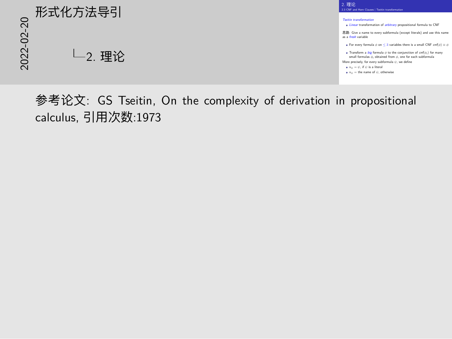# 2022-02-20 形式化方法导引 2. 理论



参考论文: GS Tseitin, On the complexity of derivation in propositional calculus, 引用次数:1973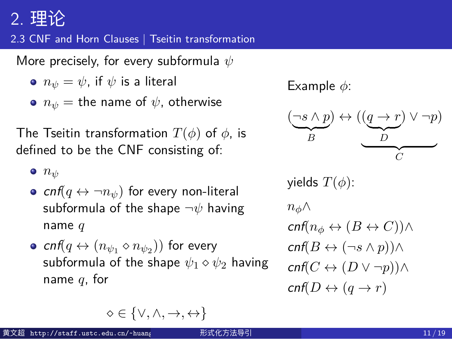#### 2.3 CNF and Horn Clauses | Tseitin transformation

More precisely, for every subformula *ψ*

- $n_{\psi} = \psi$ , if  $\psi$  is a literal
- $n_{\psi}$  = the name of  $\psi$ , otherwise

The Tseitin transformation *T*(*ϕ*) of *ϕ*, is defined to be the CNF consisting of:

- *n<sup>ψ</sup>*
- $cnf(q \leftrightarrow \neg n_{\psi})$  for every non-literal subformula of the shape *¬ψ* having name *q*
- $\mathsf{cnf}(q \leftrightarrow (n_{\psi_1} \diamond n_{\psi_2}))$  for every subformula of the shape *ψ*<sup>1</sup> *⋄ ψ*<sup>2</sup> having name *q*, for

Example *ϕ*:

$$
(\underbrace{\neg s \land p}_{B}) \leftrightarrow ((\underbrace{q \to r}_{D}) \lor \neg p) \\ \underbrace{\qquad \qquad }_{C}
$$

yields  $T(\phi)$ : *nϕ∧*  $cnf(n_\phi \leftrightarrow (B \leftrightarrow C))$ *cnf*(*B ↔* (*¬s ∧ p*))*∧*  $cnf(C \leftrightarrow (D \lor \neg p))$  $\operatorname{cnf}(D \leftrightarrow (q \rightarrow r))$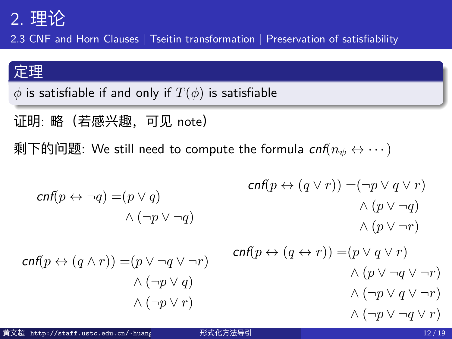2.3 CNF and Horn Clauses | Tseitin transformation | Preservation of satisfiability

# 定理

*ϕ* is satisfiable if and only if *T*(*ϕ*) is satisfiable

证明: 略 (若感兴趣, 可见 note)

剩下的问题: We still need to compute the formula *cnf*(*n<sup>ψ</sup> ↔ · · ·*)

*cnf*(*p ↔ ¬q*) =(*p ∨ q*) *∧* (*¬p ∨ ¬q*) *cnf*(*p ↔* (*q ∧ r*)) =(*p ∨ ¬q ∨ ¬r*) *∧* (*¬p ∨ q*) *∧* (*¬p ∨ r*) *cnf*(*p ↔* (*q ∨ r*)) =(*¬p ∨ q ∨ r*) *∧* (*p ∨ ¬q*) *∧* (*p ∨ ¬r*) *cnf*(*p ↔* (*q ↔ r*)) =(*p ∨ q ∨ r*) *∧* (*p ∨ ¬q ∨ ¬r*) *∧* (*¬p ∨ q ∨ ¬r*) *∧* (*¬p ∨ ¬q ∨ r*) 黄文超 http://staff.ustc.edu.cn/~huangwc/fm.html 形式化方法导引 12 / 19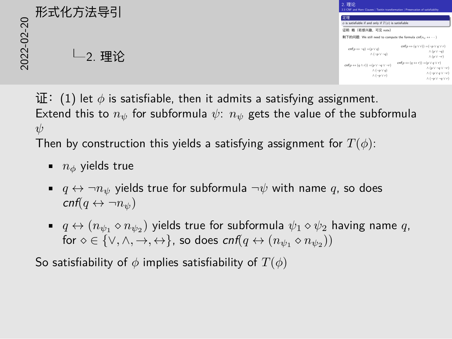# $\begin{array}{lllllllll} \textbf{1}_{\{1\leq j\leq k\}\cup\{k\}}\textbf{1}_{\{j\leq j\leq k\}\cup\{k\}}\textbf{1}_{\{j\leq j\leq k\}\cup\{k\}}\textbf{1}_{\{j\leq j\leq k\}\cup\{k\}}\textbf{1}_{\{j\leq j\leq k\}\cup\{k\}}\textbf{1}_{\{j\leq j\leq k\}\cup\{k\}}\textbf{1}_{\{j\leq j\leq k\}\cup\{k\}}\textbf{1}_{\{j\leq j\leq k\}\cup\{k\}}\textbf{1}_{\{j$ 2. 理论

| 2. 理论<br>2.3 CNF and Horn Clauses   Turitin transformation   Preservation of satisfiability                                         |                                                                                                                                                                                      |
|-------------------------------------------------------------------------------------------------------------------------------------|--------------------------------------------------------------------------------------------------------------------------------------------------------------------------------------|
| 定理<br>$\phi$ is satisfiable if and only if $T(\phi)$ is satisfiable                                                                 |                                                                                                                                                                                      |
| 证明: 略 (若感兴趣, 可见 note)                                                                                                               |                                                                                                                                                                                      |
| 剩下的问题: We still need to compute the formula cnf(no ↔  )                                                                             |                                                                                                                                                                                      |
| $cnf_0 \leftrightarrow \neg o) = (p \vee o)$<br>$\wedge$ ( $\neg p \vee \neg q$ )                                                   | $cnf \circ \leftrightarrow (a \vee r)) = (\neg a \vee a \vee r)$<br>$\wedge$ (p $\vee \neg$ e)<br>$\wedge$ (p $\vee \neg r$ )                                                        |
| $cnf(p \leftrightarrow (q \land r)) = (p \lor \neg q \lor \neg r)$<br>$\wedge$ ( $\neg$ o $\vee$ o)<br>$\wedge$ ( $\neg p \vee r$ ) | $cnf p \leftrightarrow (a \leftrightarrow r)) = (p \vee a \vee r)$<br>$\wedge$ (p $\vee \neg$ e $\vee \neg$ r)<br>$\wedge$ ( $\neg p \vee q \vee \neg r$ )<br>$\wedge$ (-w V -e V r) |

证:(1) let *ϕ* is satisfiable, then it admits a satisfying assignment. Extend this to  $n_{\psi}$  for subformula  $\psi$ :  $n_{\psi}$  gets the value of the subformula *ψ*

Then by construction this yields a satisfying assignment for *T*(*ϕ*):

- *n<sup>ϕ</sup>* yields true
- $q \leftrightarrow \neg n_{\psi}$  yields true for subformula  $\neg \psi$  with name  $q$ , so does *cnf*( $q \leftrightarrow \neg n_{\psi}$ )
- $q \leftrightarrow (n_{\psi_1} \diamond n_{\psi_2})$  yields true for subformula  $\psi_1 \diamond \psi_2$  having name  $q$ ,  $\mathsf{for} \diamond \in \{\vee, \wedge, \rightarrow, \leftrightarrow\}$ , so does  $\mathsf{cnf}(q \leftrightarrow (n_{\psi_1} \diamond n_{\psi_2}))$

So satisfiability of *ϕ* implies satisfiability of *T*(*ϕ*)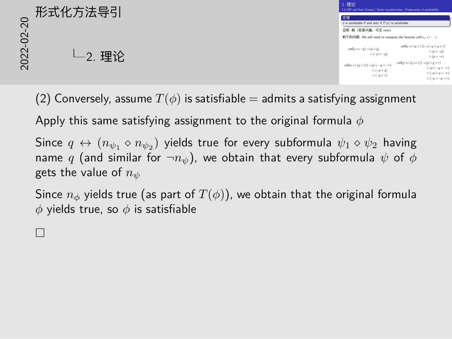|          | 形式化方法导引 | 2. 理论<br>2.3 CNF and Horn Clauses   Traitin transformation   Preservation of satisfiability                              |                                                                                                                                                                                            |
|----------|---------|--------------------------------------------------------------------------------------------------------------------------|--------------------------------------------------------------------------------------------------------------------------------------------------------------------------------------------|
| $\Omega$ |         | 定理<br>$\phi$ is satisfiable if and only if $T(\phi)$ is satisfiable                                                      |                                                                                                                                                                                            |
| $\Omega$ |         | 证明:略 (若感兴趣,可见 note)<br>剩下的问题: We still need to compute the formula cnf(no <> · · · · )                                   |                                                                                                                                                                                            |
| 022      | 理论      | $cnf(p \leftrightarrow \neg q) = (p \vee q)$<br>$\wedge (\neg p \vee \neg q)$                                            | $\mathit{conf}(p \leftrightarrow (q \vee r)) = (\neg p \vee q \vee r)$<br>$\wedge (p \vee \neg q)$<br>$\wedge (p \vee \neg r)$                                                             |
| $\sim$   |         | $cnf(p \leftrightarrow (q \land r)) = (p \lor \neg q \lor \neg r)$<br>$\wedge (\neg p \vee q)$<br>$\wedge(\neg p\vee r)$ | $cnf(p \leftrightarrow (q \leftrightarrow r)) = (p \vee q \vee r)$<br>$\wedge (p \vee \neg q \vee \neg r)$<br>$\wedge (\neg p \vee q \vee \neg r)$<br>$\wedge (\neg p \vee \neg q \vee r)$ |

(2) Conversely, assume  $T(\phi)$  is satisfiable = admits a satisfying assignment

Apply this same satisfying assignment to the original formula *ϕ*

Since  $q \leftrightarrow (n_{\psi_1} \diamond n_{\psi_2})$  yields true for every subformula  $\psi_1 \diamond \psi_2$  having name  $q$  (and similar for  $\neg n_\psi$ ), we obtain that every subformula  $\psi$  of  $\phi$ gets the value of *n<sup>ψ</sup>*

Since  $n_{\phi}$  yields true (as part of  $T(\phi)$ ), we obtain that the original formula *ϕ* yields true, so *ϕ* is satisfiable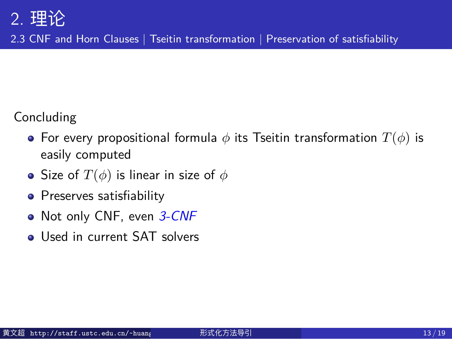2.3 CNF and Horn Clauses | Tseitin transformation | Preservation of satisfiability

#### Concluding

- For every propositional formula *ϕ* its Tseitin transformation *T*(*ϕ*) is easily computed
- Size of  $T(\phi)$  is linear in size of  $\phi$
- Preserves satisfiability
- Not only CNF, even *3-CNF*
- Used in current SAT solvers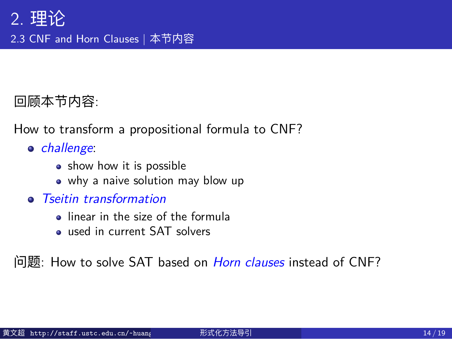# 2. 理论 2.3 CNF and Horn Clauses | 本节内容

# 回顾本节内容:

How to transform a propositional formula to CNF?

- *challenge*:
	- show how it is possible
	- why a naive solution may blow up
- *Tseitin transformation*
	- linear in the size of the formula
	- used in current SAT solvers

问题: How to solve SAT based on *Horn clauses* instead of CNF?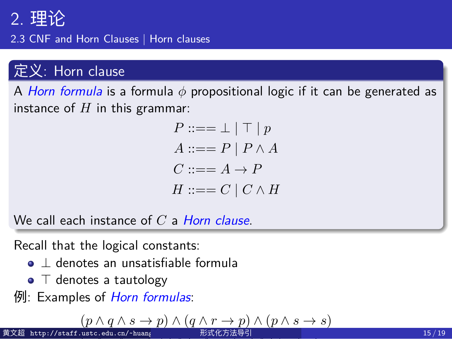2.3 CNF and Horn Clauses | Horn clauses

#### 定义: Horn clause

A *Horn formula* is a formula *ϕ* propositional logic if it can be generated as instance of *H* in this grammar:

$$
P ::= = \bot | \top | p
$$
  
\n
$$
A ::= = P | P \land A
$$
  
\n
$$
C ::= = A \rightarrow P
$$
  
\n
$$
H ::= = C | C \land H
$$

We call each instance of *C* a *Horn clause*.

Recall that the logical constants:

- *⊥* denotes an unsatisfiable formula
- *⊤* denotes a tautology
- 例: Examples of *Horn formulas*:

$$
\text{f(x)} \quad (p \land q \land s \to p) \land (q \land r \to p) \land (p \land s \to s)
$$
\n
$$
\text{f(x)} \quad \text{f(x)} \quad (p \land s \to s) \quad \text{f(x)} \quad (p \land s \to s) \quad \text{f(x)} \quad (p \land s \to s) \quad \text{f(x)} \quad (p \land s \to s) \quad \text{f(x)} \quad (p \land s \to s) \quad \text{f(x)} \quad (p \land s \to s) \quad \text{f(x)} \quad (p \land s \to s) \quad \text{f(x)} \quad (p \land s \to s) \quad \text{f(x)} \quad (p \land s \to s) \quad \text{f(x)} \quad (p \land s \to s) \quad \text{f(x)} \quad (p \land s \to s) \quad \text{f(x)} \quad (p \land s \to s) \quad \text{f(x)} \quad (p \land s \to s) \quad \text{f(x)} \quad (p \land s \to s) \quad \text{f(x)} \quad (p \land s \to s) \quad \text{f(x)} \quad (p \land s \to s) \quad \text{f(x)} \quad (p \land s \to s) \quad \text{f(x)} \quad (p \land s \to s) \quad \text{f(x)} \quad (p \land s \to s) \quad \text{f(x)} \quad (p \land s \to s) \quad \text{f(x)} \quad (p \land s \to s) \quad \text{f(x)} \quad (p \land s \to s) \quad \text{f(x)} \quad (p \land s \to s) \quad \text{f(x)} \quad (p \land s \to s) \quad \text{f(x)} \quad (p \land s \to s) \quad \text{f(x)} \quad (p \land s \to s) \quad \text{f(x)} \quad (p \land s \to s) \quad \text{f(x)} \quad (p \land s \to s) \quad \text{f(x)} \quad (p \land s \to s) \quad \text{f(x)} \quad (p \land s \to s) \quad \text{f(x)} \quad (p \land s \to s) \quad \text{f(x)} \quad (p \land s \to s) \quad \text{f(x)} \quad (p \land s \to s) \quad \text{f(x)} \quad (p \land s \to s) \quad \text{f(x)} \quad (p \land s \to s) \quad \text{f(x)} \quad \text{f(x)} \quad (p \land s \to s) \quad \text{f(x)} \quad \text
$$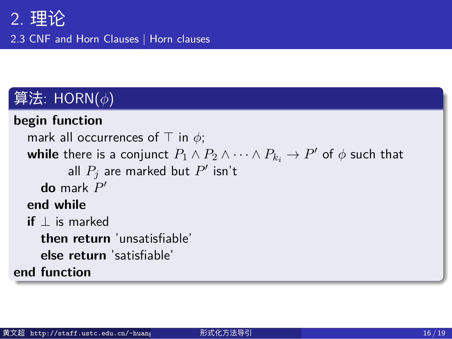2.3 CNF and Horn Clauses | Horn clauses

# 算法: HORN(*ϕ*)

| begin function                                                                                             |
|------------------------------------------------------------------------------------------------------------|
| mark all occurrences of $\top$ in $\phi$ ;                                                                 |
| while there is a conjunct $P_1 \wedge P_2 \wedge \cdots \wedge P_{k_i} \rightarrow P'$ of $\phi$ such that |
| all $P_i$ are marked but $P'$ isn't                                                                        |
| <b>do</b> mark $P'$                                                                                        |
| end while                                                                                                  |
| <b>if</b> $\perp$ is marked                                                                                |
| then return 'unsatisfiable'                                                                                |
| else return 'satisfiable'                                                                                  |
| end function                                                                                               |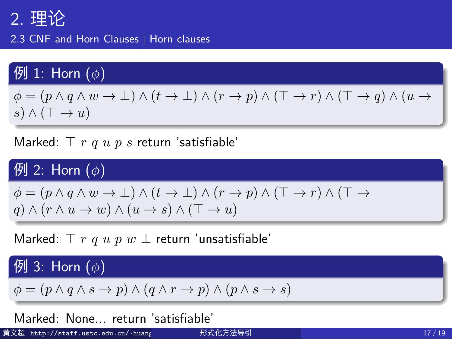2.3 CNF and Horn Clauses | Horn clauses

# 例 1: Horn (*ϕ*)

 $\phi = (p \land q \land w \to \bot) \land (t \to \bot) \land (r \to p) \land (\top \to r) \land (\top \to q) \land (u \to \bot)$ *s*) *∧* (*⊤ → u*)

Marked: *⊤ r q u p s* return 'satisfiable'

#### 例 2: Horn (*ϕ*)

*ϕ* = (*p ∧ q ∧ w → ⊥*) *∧* (*t → ⊥*) *∧* (*r → p*) *∧* (*⊤ → r*) *∧* (*⊤ → q*) *∧* (*r ∧ u → w*) *∧* (*u → s*) *∧* (*⊤ → u*)

Marked: *⊤ r q u p w ⊥* return 'unsatisfiable'

例 3: Horn (*ϕ*)

 $\phi = (p \land q \land s \rightarrow p) \land (q \land r \rightarrow p) \land (p \land s \rightarrow s)$ 

Marked: None... return 'satisfiable'

黄文超 http://staff.ustc.edu.cn/~huang 形式化方法导引 17 / 19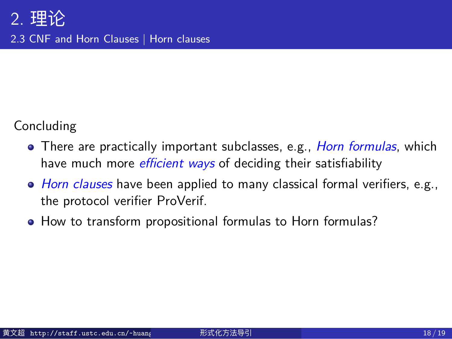# 2. 理论 2.3 CNF and Horn Clauses | Horn clauses

Concluding

- There are practically important subclasses, e.g., *Horn formulas*, which have much more *efficient ways* of deciding their satisfiability
- *Horn clauses* have been applied to many classical formal verifiers, e.g., the protocol verifier ProVerif.
- How to transform propositional formulas to Horn formulas?